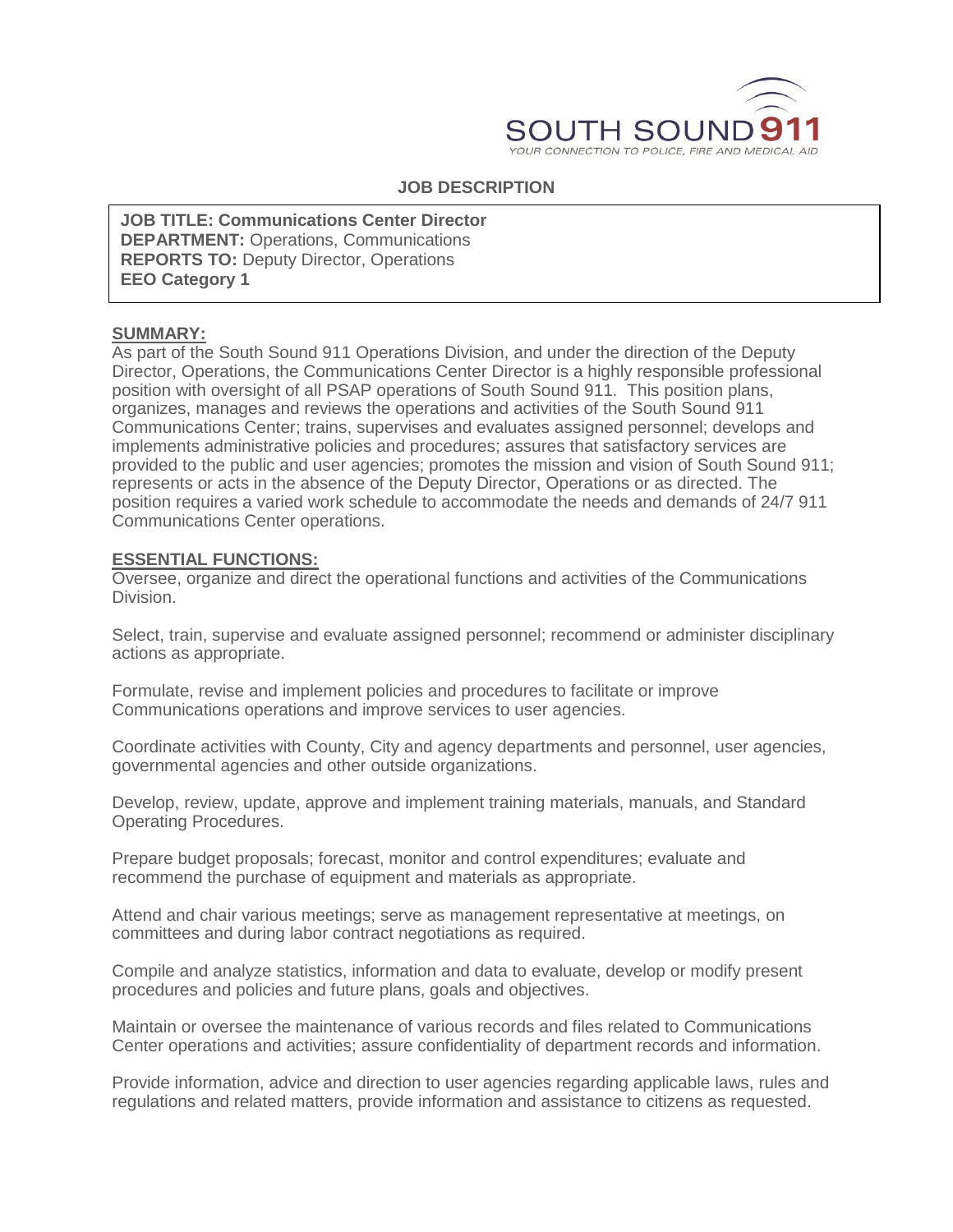

# **JOB DESCRIPTION**

**DEPARTMENT:** Operations, Communications **JOB TITLE: Communications Center Director REPORTS TO: Deputy Director, Operations EEO Category 1**

## **SUMMARY:**

As part of the South Sound 911 Operations Division, and under the direction of the Deputy Director, Operations, the Communications Center Director is a highly responsible professional position with oversight of all PSAP operations of South Sound 911. This position plans, organizes, manages and reviews the operations and activities of the South Sound 911 Communications Center; trains, supervises and evaluates assigned personnel; develops and implements administrative policies and procedures; assures that satisfactory services are provided to the public and user agencies; promotes the mission and vision of South Sound 911; represents or acts in the absence of the Deputy Director, Operations or as directed. The position requires a varied work schedule to accommodate the needs and demands of 24/7 911 Communications Center operations.

### **ESSENTIAL FUNCTIONS:**

Oversee, organize and direct the operational functions and activities of the Communications Division.

Select, train, supervise and evaluate assigned personnel; recommend or administer disciplinary actions as appropriate.

Formulate, revise and implement policies and procedures to facilitate or improve Communications operations and improve services to user agencies.

Coordinate activities with County, City and agency departments and personnel, user agencies, governmental agencies and other outside organizations.

Develop, review, update, approve and implement training materials, manuals, and Standard Operating Procedures.

Prepare budget proposals; forecast, monitor and control expenditures; evaluate and recommend the purchase of equipment and materials as appropriate.

Attend and chair various meetings; serve as management representative at meetings, on committees and during labor contract negotiations as required.

Compile and analyze statistics, information and data to evaluate, develop or modify present procedures and policies and future plans, goals and objectives.

Maintain or oversee the maintenance of various records and files related to Communications Center operations and activities; assure confidentiality of department records and information.

Provide information, advice and direction to user agencies regarding applicable laws, rules and regulations and related matters, provide information and assistance to citizens as requested.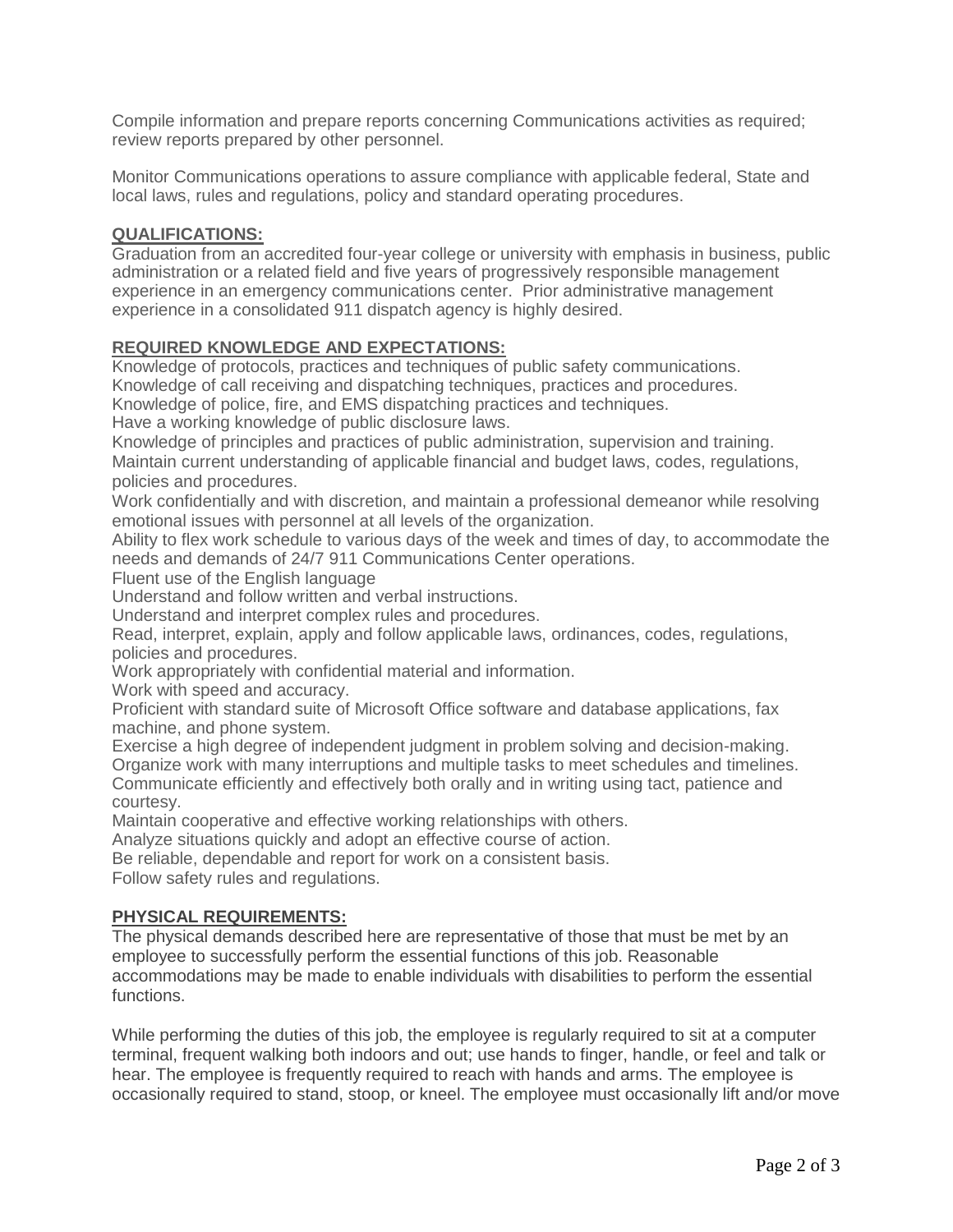Compile information and prepare reports concerning Communications activities as required; review reports prepared by other personnel.

Monitor Communications operations to assure compliance with applicable federal, State and local laws, rules and regulations, policy and standard operating procedures.

# **QUALIFICATIONS:**

Graduation from an accredited four-year college or university with emphasis in business, public administration or a related field and five years of progressively responsible management experience in an emergency communications center. Prior administrative management experience in a consolidated 911 dispatch agency is highly desired.

# **REQUIRED KNOWLEDGE AND EXPECTATIONS:**

Knowledge of protocols, practices and techniques of public safety communications. Knowledge of call receiving and dispatching techniques, practices and procedures.

Knowledge of police, fire, and EMS dispatching practices and techniques.

Have a working knowledge of public disclosure laws.

Knowledge of principles and practices of public administration, supervision and training. Maintain current understanding of applicable financial and budget laws, codes, regulations, policies and procedures.

Work confidentially and with discretion, and maintain a professional demeanor while resolving emotional issues with personnel at all levels of the organization.

Ability to flex work schedule to various days of the week and times of day, to accommodate the needs and demands of 24/7 911 Communications Center operations.

Fluent use of the English language

Understand and follow written and verbal instructions.

Understand and interpret complex rules and procedures.

Read, interpret, explain, apply and follow applicable laws, ordinances, codes, regulations, policies and procedures.

Work appropriately with confidential material and information.

Work with speed and accuracy.

Proficient with standard suite of Microsoft Office software and database applications, fax machine, and phone system.

Exercise a high degree of independent judgment in problem solving and decision-making. Organize work with many interruptions and multiple tasks to meet schedules and timelines. Communicate efficiently and effectively both orally and in writing using tact, patience and courtesy.

Maintain cooperative and effective working relationships with others.

Analyze situations quickly and adopt an effective course of action.

Be reliable, dependable and report for work on a consistent basis.

Follow safety rules and regulations.

# **PHYSICAL REQUIREMENTS:**

The physical demands described here are representative of those that must be met by an employee to successfully perform the essential functions of this job. Reasonable accommodations may be made to enable individuals with disabilities to perform the essential functions.

While performing the duties of this job, the employee is regularly required to sit at a computer terminal, frequent walking both indoors and out; use hands to finger, handle, or feel and talk or hear. The employee is frequently required to reach with hands and arms. The employee is occasionally required to stand, stoop, or kneel. The employee must occasionally lift and/or move